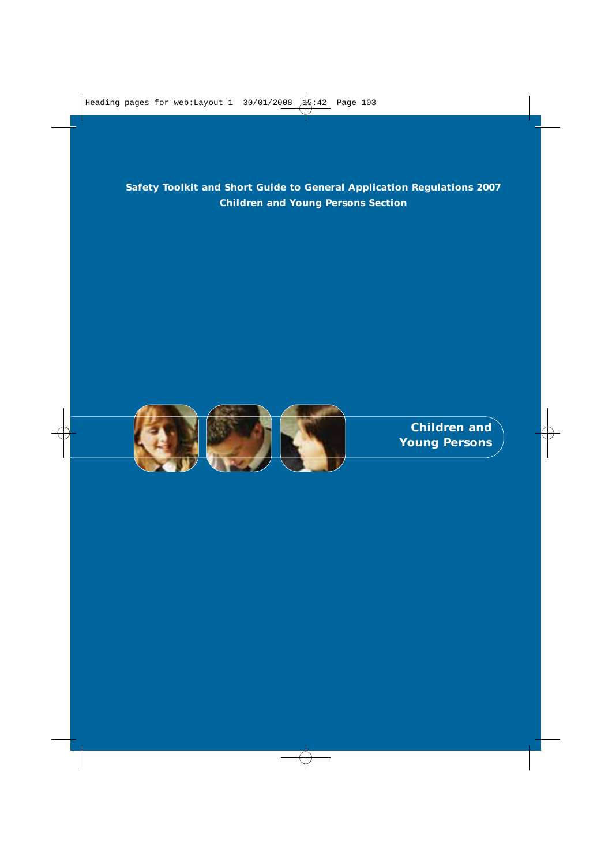**Safety Toolkit and Short Guide to General Application Regulations 2007 Children and Young Persons Section**



**Children and Young Persons**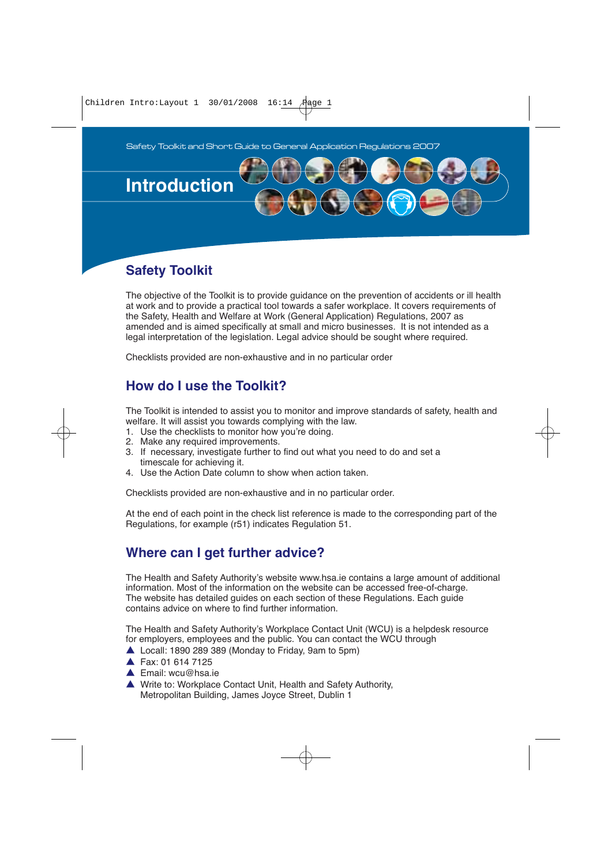Safety Toolkit and Short Guide to General Application Regulations 2007



# **Safety Toolkit**

The objective of the Toolkit is to provide guidance on the prevention of accidents or ill health at work and to provide a practical tool towards a safer workplace. It covers requirements of the Safety, Health and Welfare at Work (General Application) Regulations, 2007 as amended and is aimed specifically at small and micro businesses. It is not intended as a legal interpretation of the legislation. Legal advice should be sought where required.

Checklists provided are non-exhaustive and in no particular order

## **How do I use the Toolkit?**

The Toolkit is intended to assist you to monitor and improve standards of safety, health and welfare. It will assist you towards complying with the law.

- 1. Use the checklists to monitor how you're doing.
- 2. Make any required improvements.
- 3. If necessary, investigate further to find out what you need to do and set a timescale for achieving it.
- 4. Use the Action Date column to show when action taken.

Checklists provided are non-exhaustive and in no particular order.

At the end of each point in the check list reference is made to the corresponding part of the Regulations, for example (r51) indicates Regulation 51.

### **Where can I get further advice?**

The Health and Safety Authority's website www.hsa.ie contains a large amount of additional information. Most of the information on the website can be accessed free-of-charge. The website has detailed guides on each section of these Regulations. Each guide contains advice on where to find further information.

The Health and Safety Authority's Workplace Contact Unit (WCU) is a helpdesk resource for employers, employees and the public. You can contact the WCU through

- $\triangle$  Locall: 1890 289 389 (Monday to Friday, 9am to 5pm)
- ▲ Fax: 01 614 7125
- ▲ Email: wcu@hsa.ie
- ▲ Write to: Workplace Contact Unit, Health and Safety Authority, Metropolitan Building, James Joyce Street, Dublin 1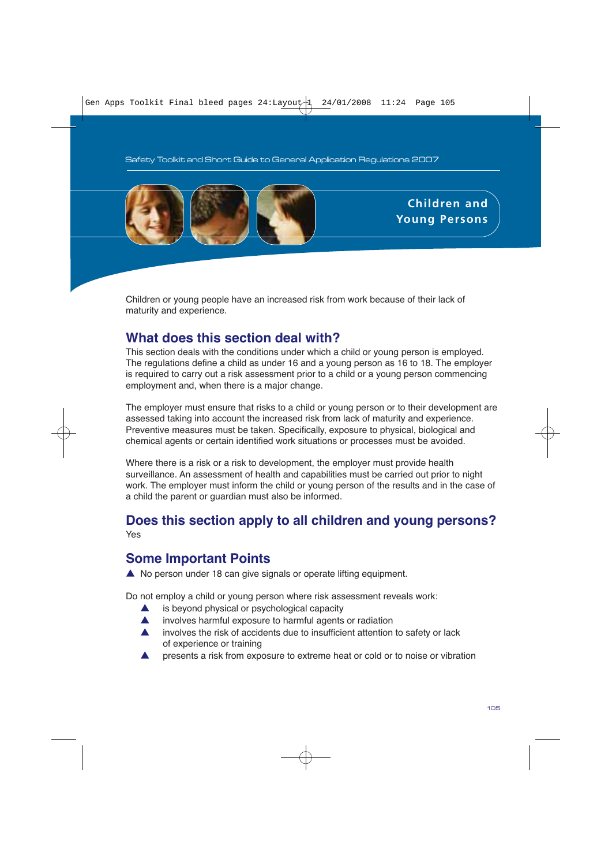

Children or young people have an increased risk from work because of their lack of maturity and experience.

### **What does this section deal with?**

This section deals with the conditions under which a child or young person is employed. The regulations define a child as under 16 and a young person as 16 to 18. The employer is required to carry out a risk assessment prior to a child or a young person commencing employment and, when there is a major change.

The employer must ensure that risks to a child or young person or to their development are assessed taking into account the increased risk from lack of maturity and experience. Preventive measures must be taken. Specifically, exposure to physical, biological and chemical agents or certain identified work situations or processes must be avoided.

Where there is a risk or a risk to development, the employer must provide health surveillance. An assessment of health and capabilities must be carried out prior to night work. The employer must inform the child or young person of the results and in the case of a child the parent or guardian must also be informed.

#### **Does this section apply to all children and young persons?** Yes

### **Some Important Points**

▲ No person under 18 can give signals or operate lifting equipment.

Do not employ a child or young person where risk assessment reveals work:

- $\triangle$  is beyond physical or psychological capacity
- ▲ involves harmful exposure to harmful agents or radiation
- ▲ involves the risk of accidents due to insufficient attention to safety or lack of experience or training
- presents a risk from exposure to extreme heat or cold or to noise or vibration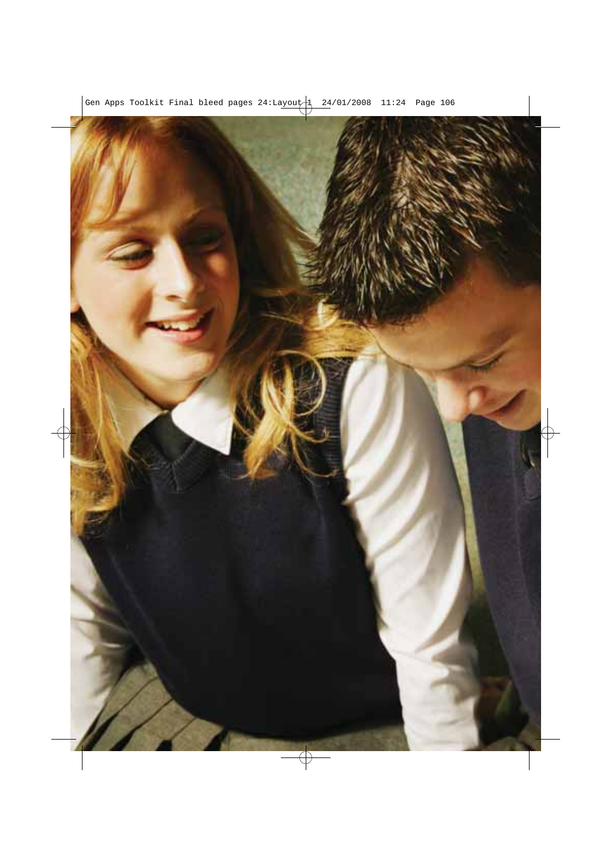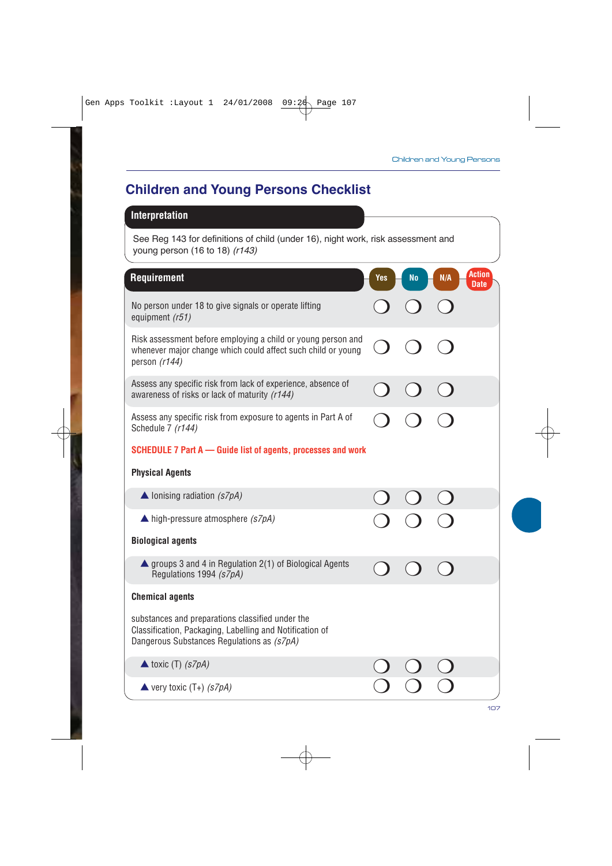# **Children and Young Persons Checklist**

### **Interpretation**

See Reg 143 for definitions of child (under 16), night work, risk assessment and young person (16 to 18) (r143)

| <b>Requirement</b>                                                                                                                                         | <b>Yes</b> | No | N/A | <b>Action</b><br>Date |
|------------------------------------------------------------------------------------------------------------------------------------------------------------|------------|----|-----|-----------------------|
| No person under 18 to give signals or operate lifting<br>equipment (r51)                                                                                   |            |    |     |                       |
| Risk assessment before employing a child or young person and<br>whenever major change which could affect such child or young<br>person (r144)              |            |    |     |                       |
| Assess any specific risk from lack of experience, absence of<br>awareness of risks or lack of maturity (r144)                                              |            |    |     |                       |
| Assess any specific risk from exposure to agents in Part A of<br>Schedule 7 (r144)                                                                         |            |    |     |                       |
| SCHEDULE 7 Part A - Guide list of agents, processes and work                                                                                               |            |    |     |                       |
| <b>Physical Agents</b>                                                                                                                                     |            |    |     |                       |
| $\triangle$ lonising radiation (s7pA)                                                                                                                      |            |    |     |                       |
| $\triangle$ high-pressure atmosphere (s7pA)                                                                                                                |            |    |     |                       |
| <b>Biological agents</b>                                                                                                                                   |            |    |     |                       |
| $\triangle$ groups 3 and 4 in Regulation 2(1) of Biological Agents<br>Regulations 1994 (s7pA)                                                              |            |    |     |                       |
| <b>Chemical agents</b>                                                                                                                                     |            |    |     |                       |
| substances and preparations classified under the<br>Classification, Packaging, Labelling and Notification of<br>Dangerous Substances Regulations as (s7pA) |            |    |     |                       |
| $\triangle$ toxic (T) (s7pA)                                                                                                                               |            |    |     |                       |
| $\triangle$ very toxic (T+) (s7pA)                                                                                                                         |            |    |     |                       |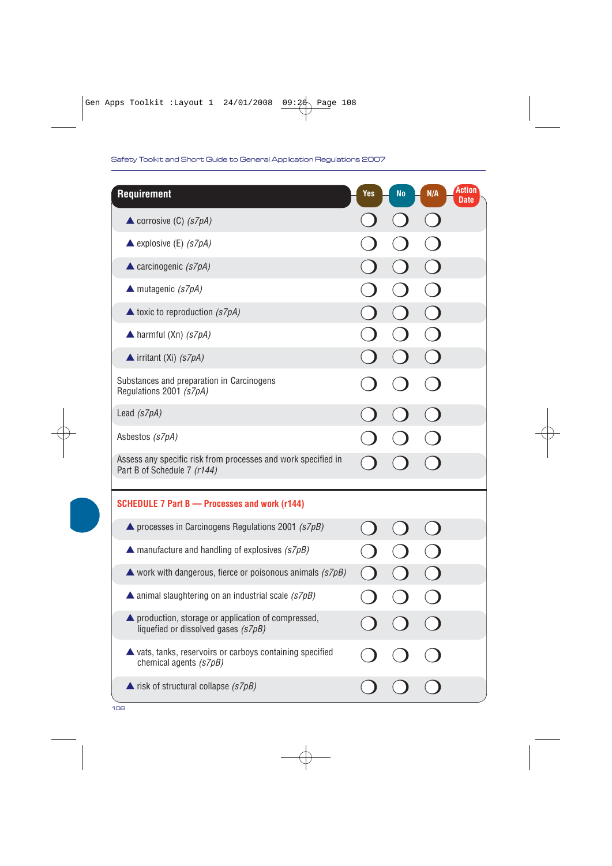| Requirement                                                                                  | Yes | <b>No</b> | N/A | <b>Action</b><br>Date |
|----------------------------------------------------------------------------------------------|-----|-----------|-----|-----------------------|
| $\triangle$ corrosive (C) (s7pA)                                                             |     |           |     |                       |
| $\triangle$ explosive (E) (s7pA)                                                             |     |           |     |                       |
| $\triangle$ carcinogenic (s7pA)                                                              |     |           |     |                       |
| $\blacktriangle$ mutagenic (s7pA)                                                            |     |           |     |                       |
| $\triangle$ toxic to reproduction (s7pA)                                                     |     |           |     |                       |
| $\triangle$ harmful (Xn) (s7pA)                                                              |     |           |     |                       |
| $\triangle$ irritant (Xi) (s7pA)                                                             |     |           |     |                       |
| Substances and preparation in Carcinogens<br>Regulations 2001 (s7pA)                         |     |           |     |                       |
| Lead (s7pA)                                                                                  |     |           |     |                       |
| Asbestos (s7pA)                                                                              |     |           |     |                       |
| Assess any specific risk from processes and work specified in<br>Part B of Schedule 7 (r144) |     |           |     |                       |
| <b>SCHEDULE 7 Part B - Processes and work (r144)</b>                                         |     |           |     |                       |
| $\triangle$ processes in Carcinogens Regulations 2001 (s7pB)                                 |     |           |     |                       |
| $\triangle$ manufacture and handling of explosives ( $s7pB$ )                                |     |           |     |                       |
| $\triangle$ work with dangerous, fierce or poisonous animals ( $s7pB$ )                      |     |           |     |                       |
| $\triangle$ animal slaughtering on an industrial scale ( $s7pB$ )                            |     |           |     |                       |
| ▲ production, storage or application of compressed,<br>liquefied or dissolved gases (s7pB)   |     |           |     |                       |
| ▲ vats, tanks, reservoirs or carboys containing specified<br>chemical agents (s7pB)          |     |           |     |                       |
| $\triangle$ risk of structural collapse ( $s7pB$ )                                           |     |           |     |                       |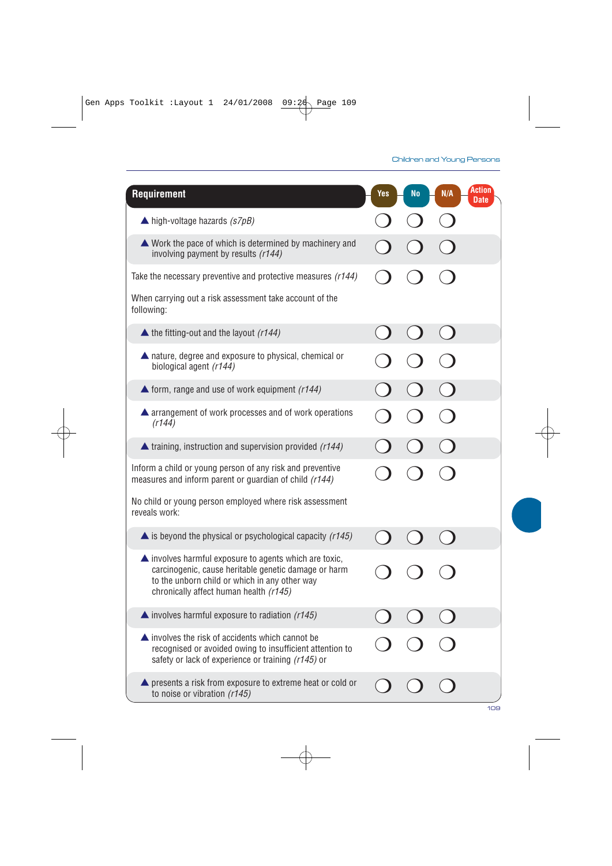| Requirement                                                                                                                                                                                                              | Yes | No | N/A | <b>Action</b><br>Date |
|--------------------------------------------------------------------------------------------------------------------------------------------------------------------------------------------------------------------------|-----|----|-----|-----------------------|
| $\triangle$ high-voltage hazards (s7pB)                                                                                                                                                                                  |     |    |     |                       |
| $\triangle$ Work the pace of which is determined by machinery and<br>involving payment by results (r144)                                                                                                                 |     |    |     |                       |
| Take the necessary preventive and protective measures (r144)                                                                                                                                                             |     |    |     |                       |
| When carrying out a risk assessment take account of the<br>following:                                                                                                                                                    |     |    |     |                       |
| $\triangle$ the fitting-out and the layout (r144)                                                                                                                                                                        |     |    |     |                       |
| ▲ nature, degree and exposure to physical, chemical or<br>biological agent (r144)                                                                                                                                        |     |    |     |                       |
| $\triangle$ form, range and use of work equipment (r144)                                                                                                                                                                 |     |    |     |                       |
| ▲ arrangement of work processes and of work operations<br>(r144)                                                                                                                                                         |     |    |     |                       |
| $\triangle$ training, instruction and supervision provided (r144)                                                                                                                                                        |     |    |     |                       |
| Inform a child or young person of any risk and preventive<br>measures and inform parent or guardian of child (r144)                                                                                                      |     |    |     |                       |
| No child or young person employed where risk assessment<br>reveals work:                                                                                                                                                 |     |    |     |                       |
| $\triangle$ is beyond the physical or psychological capacity (r145)                                                                                                                                                      |     |    |     |                       |
| $\blacktriangle$ involves harmful exposure to agents which are toxic,<br>carcinogenic, cause heritable genetic damage or harm<br>to the unborn child or which in any other way<br>chronically affect human health (r145) |     |    |     |                       |
| $\triangle$ involves harmful exposure to radiation (r145)                                                                                                                                                                |     |    |     |                       |
| $\triangle$ involves the risk of accidents which cannot be<br>recognised or avoided owing to insufficient attention to<br>safety or lack of experience or training (r145) or                                             |     |    |     |                       |
| ▲ presents a risk from exposure to extreme heat or cold or<br>to noise or vibration (r145)                                                                                                                               |     |    |     |                       |